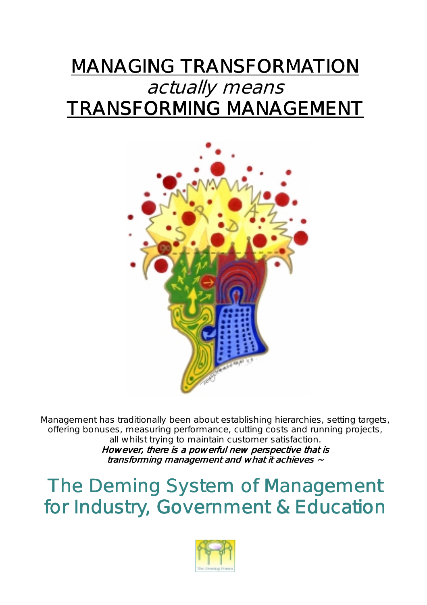## **MANAGING TRANSFORMATION** actually means TRANSFORMING MANAGEMENT



Management has traditionally been about establishing hierarchies, setting targets, offering bonuses, measuring performance, cutting costs and running projects, all whilst trying to maintain customer satisfaction. However, there is a powerful new perspective that is

transforming management and what it achieves  $\sim$ 

The Deming System of Management for Industry, Government & Education

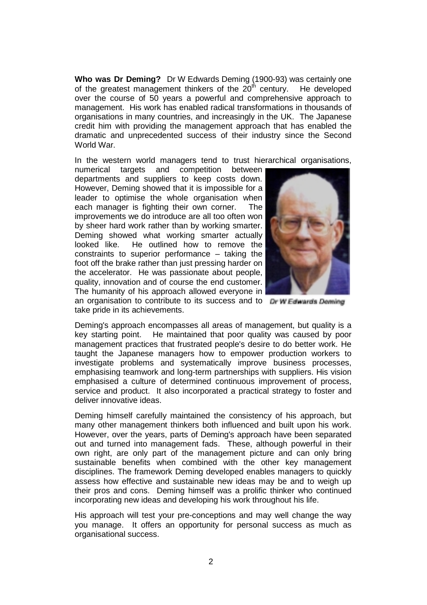**Who was Dr Deming?** Dr W Edwards Deming (1900-93) was certainly one of the greatest management thinkers of the  $20<sup>th</sup>$  century. He developed over the course of 50 years a powerful and comprehensive approach to management. His work has enabled radical transformations in thousands of organisations in many countries, and increasingly in the UK. The Japanese credit him with providing the management approach that has enabled the dramatic and unprecedented success of their industry since the Second World War.

In the western world managers tend to trust hierarchical organisations,

numerical targets and competition between departments and suppliers to keep costs down. However, Deming showed that it is impossible for a leader to optimise the whole organisation when each manager is fighting their own corner. The improvements we do introduce are all too often won by sheer hard work rather than by working smarter. Deming showed what working smarter actually looked like. He outlined how to remove the constraints to superior performance – taking the foot off the brake rather than just pressing harder on the accelerator. He was passionate about people, quality, innovation and of course the end customer. The humanity of his approach allowed everyone in



an organisation to contribute to its success and to Dr W Edwards Deming take pride in its achievements.

Deming's approach encompasses all areas of management, but quality is a key starting point. He maintained that poor quality was caused by poor management practices that frustrated people's desire to do better work. He taught the Japanese managers how to empower production workers to investigate problems and systematically improve business processes, emphasising teamwork and long-term partnerships with suppliers. His vision emphasised a culture of determined continuous improvement of process, service and product. It also incorporated a practical strategy to foster and deliver innovative ideas.

Deming himself carefully maintained the consistency of his approach, but many other management thinkers both influenced and built upon his work. However, over the years, parts of Deming's approach have been separated out and turned into management fads. These, although powerful in their own right, are only part of the management picture and can only bring sustainable benefits when combined with the other key management disciplines. The framework Deming developed enables managers to quickly assess how effective and sustainable new ideas may be and to weigh up their pros and cons. Deming himself was a prolific thinker who continued incorporating new ideas and developing his work throughout his life.

His approach will test your pre-conceptions and may well change the way you manage. It offers an opportunity for personal success as much as organisational success.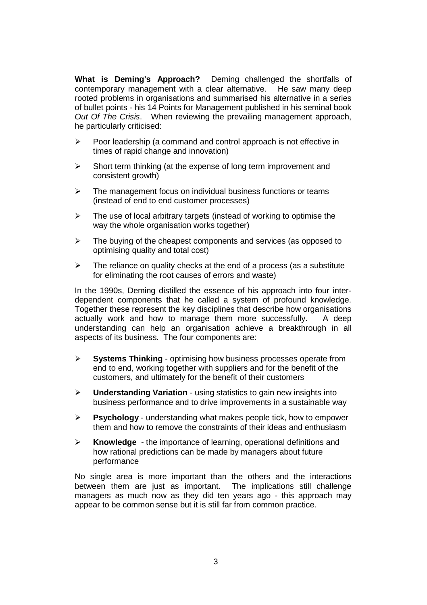**What is Deming's Approach?** Deming challenged the shortfalls of contemporary management with a clear alternative. He saw many deep rooted problems in organisations and summarised his alternative in a series of bullet points - his 14 Points for Management published in his seminal book *Out Of The Crisis*. When reviewing the prevailing management approach, he particularly criticised:

- $\triangleright$  Poor leadership (a command and control approach is not effective in times of rapid change and innovation)
- $\triangleright$  Short term thinking (at the expense of long term improvement and consistent growth)
- $\triangleright$  The management focus on individual business functions or teams (instead of end to end customer processes)
- $\triangleright$  The use of local arbitrary targets (instead of working to optimise the way the whole organisation works together)
- $\triangleright$  The buying of the cheapest components and services (as opposed to optimising quality and total cost)
- $\triangleright$  The reliance on quality checks at the end of a process (as a substitute for eliminating the root causes of errors and waste)

In the 1990s, Deming distilled the essence of his approach into four interdependent components that he called a system of profound knowledge. Together these represent the key disciplines that describe how organisations actually work and how to manage them more successfully. A deep understanding can help an organisation achieve a breakthrough in all aspects of its business. The four components are:

- **Systems Thinking** optimising how business processes operate from end to end, working together with suppliers and for the benefit of the customers, and ultimately for the benefit of their customers
- **Understanding Variation** using statistics to gain new insights into business performance and to drive improvements in a sustainable way
- **Psychology** understanding what makes people tick, how to empower them and how to remove the constraints of their ideas and enthusiasm
- **Knowledge** the importance of learning, operational definitions and how rational predictions can be made by managers about future performance

No single area is more important than the others and the interactions between them are just as important. The implications still challenge managers as much now as they did ten years ago - this approach may appear to be common sense but it is still far from common practice.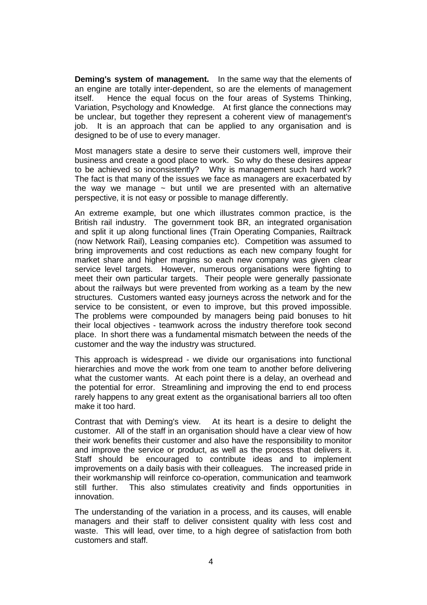**Deming's system of management.** In the same way that the elements of an engine are totally inter-dependent, so are the elements of management itself. Hence the equal focus on the four areas of Systems Thinking, Variation, Psychology and Knowledge. At first glance the connections may be unclear, but together they represent a coherent view of management's job. It is an approach that can be applied to any organisation and is designed to be of use to every manager.

Most managers state a desire to serve their customers well, improve their business and create a good place to work. So why do these desires appear to be achieved so inconsistently? Why is management such hard work? The fact is that many of the issues we face as managers are exacerbated by the way we manage  $\sim$  but until we are presented with an alternative perspective, it is not easy or possible to manage differently.

An extreme example, but one which illustrates common practice, is the British rail industry. The government took BR, an integrated organisation and split it up along functional lines (Train Operating Companies, Railtrack (now Network Rail), Leasing companies etc). Competition was assumed to bring improvements and cost reductions as each new company fought for market share and higher margins so each new company was given clear service level targets. However, numerous organisations were fighting to meet their own particular targets. Their people were generally passionate about the railways but were prevented from working as a team by the new structures. Customers wanted easy journeys across the network and for the service to be consistent, or even to improve, but this proved impossible. The problems were compounded by managers being paid bonuses to hit their local objectives - teamwork across the industry therefore took second place. In short there was a fundamental mismatch between the needs of the customer and the way the industry was structured.

This approach is widespread - we divide our organisations into functional hierarchies and move the work from one team to another before delivering what the customer wants. At each point there is a delay, an overhead and the potential for error. Streamlining and improving the end to end process rarely happens to any great extent as the organisational barriers all too often make it too hard.

Contrast that with Deming's view. At its heart is a desire to delight the customer. All of the staff in an organisation should have a clear view of how their work benefits their customer and also have the responsibility to monitor and improve the service or product, as well as the process that delivers it. Staff should be encouraged to contribute ideas and to implement improvements on a daily basis with their colleagues. The increased pride in their workmanship will reinforce co-operation, communication and teamwork still further. This also stimulates creativity and finds opportunities in innovation.

The understanding of the variation in a process, and its causes, will enable managers and their staff to deliver consistent quality with less cost and waste. This will lead, over time, to a high degree of satisfaction from both customers and staff.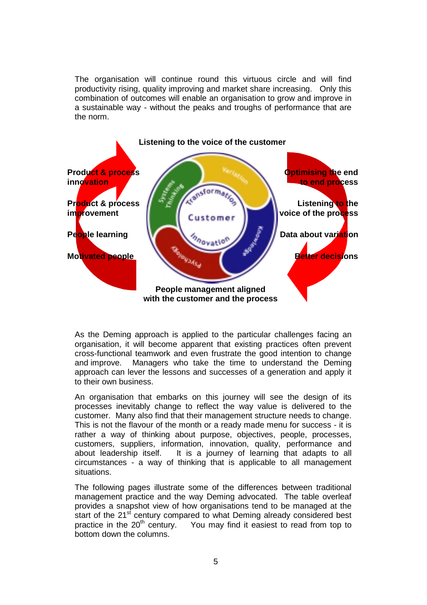The organisation will continue round this virtuous circle and will find productivity rising, quality improving and market share increasing. Only this combination of outcomes will enable an organisation to grow and improve in a sustainable way - without the peaks and troughs of performance that are the norm.



As the Deming approach is applied to the particular challenges facing an organisation, it will become apparent that existing practices often prevent cross-functional teamwork and even frustrate the good intention to change and improve. Managers who take the time to understand the Deming approach can lever the lessons and successes of a generation and apply it to their own business.

An organisation that embarks on this journey will see the design of its processes inevitably change to reflect the way value is delivered to the customer. Many also find that their management structure needs to change. This is not the flavour of the month or a ready made menu for success - it is rather a way of thinking about purpose, objectives, people, processes, customers, suppliers, information, innovation, quality, performance and It is a journey of learning that adapts to all circumstances - a way of thinking that is applicable to all management situations.

The following pages illustrate some of the differences between traditional management practice and the way Deming advocated. The table overleaf provides a snapshot view of how organisations tend to be managed at the start of the  $21<sup>st</sup>$  century compared to what Deming already considered best practice in the  $20<sup>th</sup>$  century. You may find it easiest to read from top to bottom down the columns.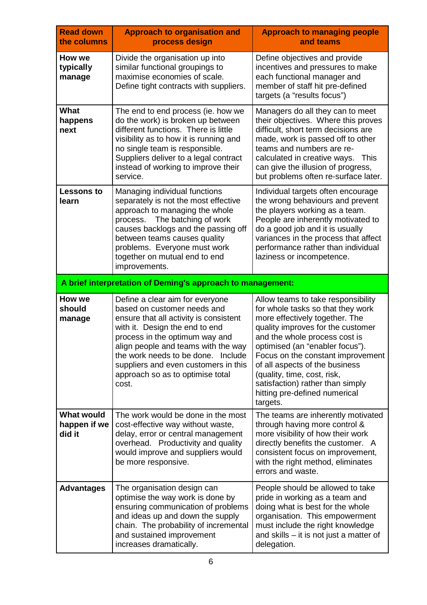| <b>Read down</b><br>the columns             | <b>Approach to organisation and</b><br>process design                                                                                                                                                                                                                                                                                          | <b>Approach to managing people</b><br>and teams                                                                                                                                                                                                                                                                                                                                                           |
|---------------------------------------------|------------------------------------------------------------------------------------------------------------------------------------------------------------------------------------------------------------------------------------------------------------------------------------------------------------------------------------------------|-----------------------------------------------------------------------------------------------------------------------------------------------------------------------------------------------------------------------------------------------------------------------------------------------------------------------------------------------------------------------------------------------------------|
| How we<br>typically<br>manage               | Divide the organisation up into<br>similar functional groupings to<br>maximise economies of scale.<br>Define tight contracts with suppliers.                                                                                                                                                                                                   | Define objectives and provide<br>incentives and pressures to make<br>each functional manager and<br>member of staff hit pre-defined<br>targets (a "results focus")                                                                                                                                                                                                                                        |
| What<br>happens<br>next                     | The end to end process (ie. how we<br>do the work) is broken up between<br>different functions. There is little<br>visibility as to how it is running and<br>no single team is responsible.<br>Suppliers deliver to a legal contract<br>instead of working to improve their<br>service.                                                        | Managers do all they can to meet<br>their objectives. Where this proves<br>difficult, short term decisions are<br>made, work is passed off to other<br>teams and numbers are re-<br>calculated in creative ways.<br>This<br>can give the illusion of progress,<br>but problems often re-surface later.                                                                                                    |
| <b>Lessons to</b><br>learn                  | Managing individual functions<br>separately is not the most effective<br>approach to managing the whole<br>process.<br>The batching of work<br>causes backlogs and the passing off<br>between teams causes quality<br>problems. Everyone must work<br>together on mutual end to end<br>improvements.                                           | Individual targets often encourage<br>the wrong behaviours and prevent<br>the players working as a team.<br>People are inherently motivated to<br>do a good job and it is usually<br>variances in the process that affect<br>performance rather than individual<br>laziness or incompetence.                                                                                                              |
|                                             | A brief interpretation of Deming's approach to management:                                                                                                                                                                                                                                                                                     |                                                                                                                                                                                                                                                                                                                                                                                                           |
| How we<br>should<br>manage                  | Define a clear aim for everyone<br>based on customer needs and<br>ensure that all activity is consistent<br>with it. Design the end to end<br>process in the optimum way and<br>align people and teams with the way<br>the work needs to be done. Include<br>suppliers and even customers in this<br>approach so as to optimise total<br>cost. | Allow teams to take responsibility<br>for whole tasks so that they work<br>more effectively together. The<br>quality improves for the customer<br>and the whole process cost is<br>optimised (an "enabler focus").<br>Focus on the constant improvement<br>of all aspects of the business<br>(quality, time, cost, risk,<br>satisfaction) rather than simply<br>hitting pre-defined numerical<br>targets. |
| <b>What would</b><br>happen if we<br>did it | The work would be done in the most<br>cost-effective way without waste,<br>delay, error or central management<br>overhead. Productivity and quality<br>would improve and suppliers would<br>be more responsive.                                                                                                                                | The teams are inherently motivated<br>through having more control &<br>more visibility of how their work<br>directly benefits the customer. A<br>consistent focus on improvement,<br>with the right method, eliminates<br>errors and waste.                                                                                                                                                               |
| Advantages                                  | The organisation design can<br>optimise the way work is done by<br>ensuring communication of problems<br>and ideas up and down the supply<br>chain. The probability of incremental<br>and sustained improvement<br>increases dramatically.                                                                                                     | People should be allowed to take<br>pride in working as a team and<br>doing what is best for the whole<br>organisation. This empowerment<br>must include the right knowledge<br>and skills – it is not just a matter of<br>delegation.                                                                                                                                                                    |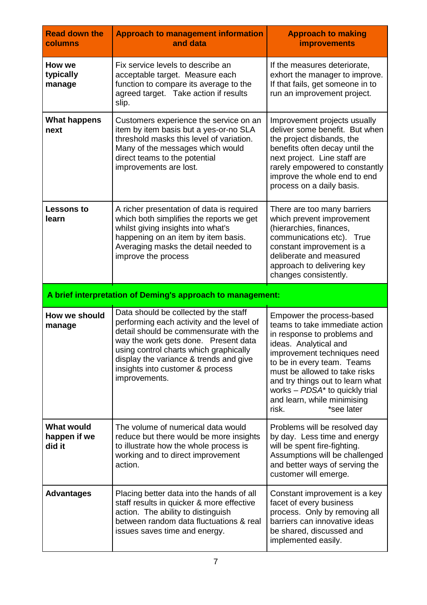| <b>Read down the</b><br>columns                            | <b>Approach to management information</b><br>and data                                                                                                                                                                                                                                                         | <b>Approach to making</b><br><i><b>improvements</b></i>                                                                                                                                                                                                                                                                                                   |
|------------------------------------------------------------|---------------------------------------------------------------------------------------------------------------------------------------------------------------------------------------------------------------------------------------------------------------------------------------------------------------|-----------------------------------------------------------------------------------------------------------------------------------------------------------------------------------------------------------------------------------------------------------------------------------------------------------------------------------------------------------|
| How we<br>typically<br>manage                              | Fix service levels to describe an<br>acceptable target. Measure each<br>function to compare its average to the<br>agreed target. Take action if results<br>slip.                                                                                                                                              | If the measures deteriorate,<br>exhort the manager to improve.<br>If that fails, get someone in to<br>run an improvement project.                                                                                                                                                                                                                         |
| What happens<br>next                                       | Customers experience the service on an<br>item by item basis but a yes-or-no SLA<br>threshold masks this level of variation.<br>Many of the messages which would<br>direct teams to the potential<br>improvements are lost.                                                                                   | Improvement projects usually<br>deliver some benefit. But when<br>the project disbands, the<br>benefits often decay until the<br>next project. Line staff are<br>rarely empowered to constantly<br>improve the whole end to end<br>process on a daily basis.                                                                                              |
| <b>Lessons to</b><br>learn                                 | A richer presentation of data is required<br>which both simplifies the reports we get<br>whilst giving insights into what's<br>happening on an item by item basis.<br>Averaging masks the detail needed to<br>improve the process                                                                             | There are too many barriers<br>which prevent improvement<br>(hierarchies, finances,<br>communications etc). True<br>constant improvement is a<br>deliberate and measured<br>approach to delivering key<br>changes consistently.                                                                                                                           |
| A brief interpretation of Deming's approach to management: |                                                                                                                                                                                                                                                                                                               |                                                                                                                                                                                                                                                                                                                                                           |
|                                                            |                                                                                                                                                                                                                                                                                                               |                                                                                                                                                                                                                                                                                                                                                           |
| How we should<br>manage                                    | Data should be collected by the staff<br>performing each activity and the level of<br>detail should be commensurate with the<br>way the work gets done. Present data<br>using control charts which graphically<br>display the variance & trends and give<br>insights into customer & process<br>improvements. | Empower the process-based<br>teams to take immediate action<br>in response to problems and<br>ideas. Analytical and<br>improvement techniques need<br>to be in every team. Teams<br>must be allowed to take risks<br>and try things out to learn what<br>works - PDSA <sup>*</sup> to quickly trial<br>and learn, while minimising<br>*see later<br>risk. |
| <b>What would</b><br>happen if we<br>did it                | The volume of numerical data would<br>reduce but there would be more insights<br>to illustrate how the whole process is<br>working and to direct improvement<br>action.                                                                                                                                       | Problems will be resolved day<br>by day. Less time and energy<br>will be spent fire-fighting.<br>Assumptions will be challenged<br>and better ways of serving the<br>customer will emerge.                                                                                                                                                                |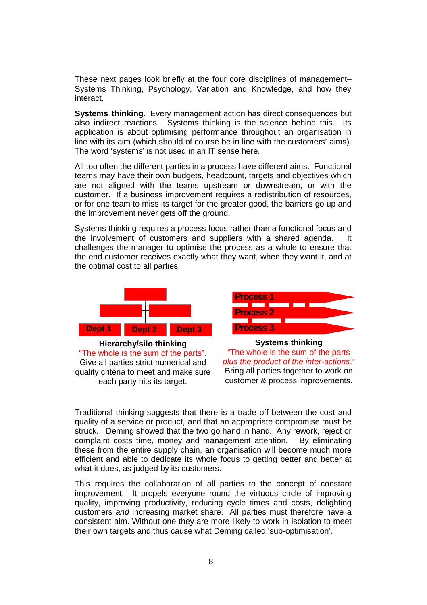These next pages look briefly at the four core disciplines of management– Systems Thinking, Psychology, Variation and Knowledge, and how they interact.

**Systems thinking.** Every management action has direct consequences but also indirect reactions. Systems thinking is the science behind this. Its application is about optimising performance throughout an organisation in line with its aim (which should of course be in line with the customers' aims). The word 'systems' is not used in an IT sense here.

All too often the different parties in a process have different aims. Functional teams may have their own budgets, headcount, targets and objectives which are not aligned with the teams upstream or downstream, or with the customer. If a business improvement requires a redistribution of resources, or for one team to miss its target for the greater good, the barriers go up and the improvement never gets off the ground.

Systems thinking requires a process focus rather than a functional focus and the involvement of customers and suppliers with a shared agenda. It challenges the manager to optimise the process as a whole to ensure that the end customer receives exactly what they want, when they want it, and at the optimal cost to all parties.



**Hierarchy/silo thinking**  "The whole is the sum of the parts". Give all parties strict numerical and quality criteria to meet and make sure each party hits its target.



**Systems thinking** "The whole is the sum of the parts *plus the product of the inter-*a*ctions*." Bring all parties together to work on customer & process improvements.

Traditional thinking suggests that there is a trade off between the cost and quality of a service or product, and that an appropriate compromise must be struck. Deming showed that the two go hand in hand. Any rework, reject or complaint costs time, money and management attention. By eliminating these from the entire supply chain, an organisation will become much more efficient and able to dedicate its whole focus to getting better and better at what it does, as judged by its customers.

This requires the collaboration of all parties to the concept of constant improvement. It propels everyone round the virtuous circle of improving quality, improving productivity, reducing cycle times and costs, delighting customers *and* increasing market share. All parties must therefore have a consistent aim. Without one they are more likely to work in isolation to meet their own targets and thus cause what Deming called 'sub-optimisation'.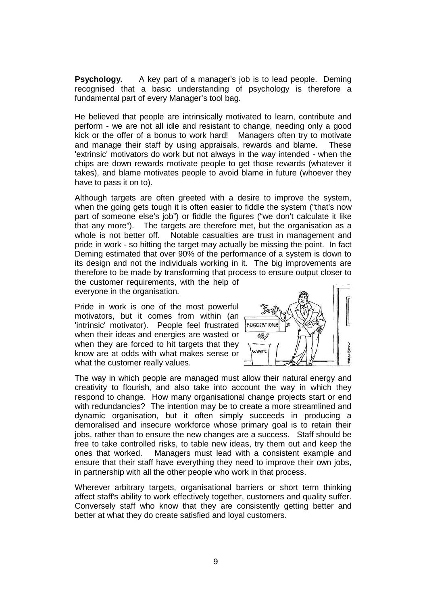**Psychology.** A key part of a manager's job is to lead people. Deming recognised that a basic understanding of psychology is therefore a fundamental part of every Manager's tool bag.

He believed that people are intrinsically motivated to learn, contribute and perform - we are not all idle and resistant to change, needing only a good kick or the offer of a bonus to work hard! Managers often try to motivate and manage their staff by using appraisals, rewards and blame. These 'extrinsic' motivators do work but not always in the way intended - when the chips are down rewards motivate people to get those rewards (whatever it takes), and blame motivates people to avoid blame in future (whoever they have to pass it on to).

Although targets are often greeted with a desire to improve the system, when the going gets tough it is often easier to fiddle the system ("that's now part of someone else's job") or fiddle the figures ("we don't calculate it like that any more"). The targets are therefore met, but the organisation as a whole is not better off. Notable casualties are trust in management and pride in work - so hitting the target may actually be missing the point. In fact Deming estimated that over 90% of the performance of a system is down to its design and not the individuals working in it. The big improvements are therefore to be made by transforming that process to ensure output closer to

the customer requirements, with the help of everyone in the organisation.

Pride in work is one of the most powerful motivators, but it comes from within (an 'intrinsic' motivator). People feel frustrated when their ideas and energies are wasted or when they are forced to hit targets that they know are at odds with what makes sense or what the customer really values.



The way in which people are managed must allow their natural energy and creativity to flourish, and also take into account the way in which they respond to change. How many organisational change projects start or end with redundancies? The intention may be to create a more streamlined and dynamic organisation, but it often simply succeeds in producing a demoralised and insecure workforce whose primary goal is to retain their jobs, rather than to ensure the new changes are a success. Staff should be free to take controlled risks, to table new ideas, try them out and keep the ones that worked. Managers must lead with a consistent example and ensure that their staff have everything they need to improve their own jobs, in partnership with all the other people who work in that process.

Wherever arbitrary targets, organisational barriers or short term thinking affect staff's ability to work effectively together, customers and quality suffer. Conversely staff who know that they are consistently getting better and better at what they do create satisfied and loyal customers.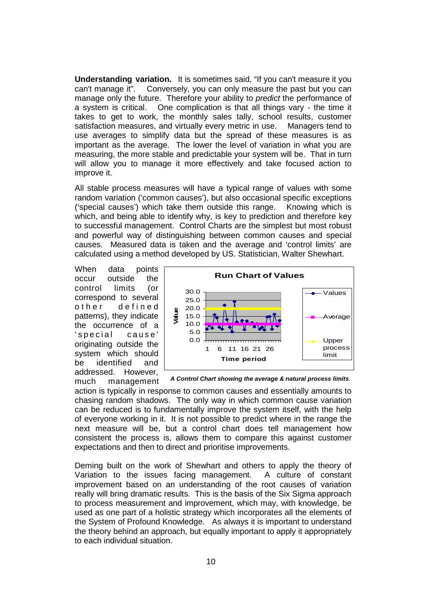**Understanding variation.** It is sometimes said, "If you can't measure it you can't manage it". Conversely, you can only measure the past but you can manage only the future. Therefore your ability to *predict* the performance of a system is critical. One complication is that all things vary - the time it takes to get to work, the monthly sales tally, school results, customer satisfaction measures, and virtually every metric in use. Managers tend to use averages to simplify data but the spread of these measures is as important as the average. The lower the level of variation in what you are measuring, the more stable and predictable your system will be. That in turn will allow you to manage it more effectively and take focused action to improve it.

All stable process measures will have a typical range of values with some random variation ('common causes'), but also occasional specific exceptions ('special causes') which take them outside this range. Knowing which is which, and being able to identify why, is key to prediction and therefore key to successful management. Control Charts are the simplest but most robust and powerful way of distinguishing between common causes and special causes. Measured data is taken and the average and 'control limits' are calculated using a method developed by US. Statistician, Walter Shewhart.

When data points occur outside the control limits (or correspond to several o the r defined patterns), they indicate the occurrence of a 's pecial cause' originating outside the system which should be identified and addressed. However, much management



*A Control Chart showing the average & natural process limits.*

action is typically in response to common causes and essentially amounts to chasing random shadows. The only way in which common cause variation can be reduced is to fundamentally improve the system itself, with the help of everyone working in it. It is not possible to predict where in the range the next measure will be, but a control chart does tell management how consistent the process is, allows them to compare this against customer expectations and then to direct and prioritise improvements.

Deming built on the work of Shewhart and others to apply the theory of Variation to the issues facing management. A culture of constant improvement based on an understanding of the root causes of variation really will bring dramatic results. This is the basis of the Six Sigma approach to process measurement and improvement, which may, with knowledge, be used as one part of a holistic strategy which incorporates all the elements of the System of Profound Knowledge. As always it is important to understand the theory behind an approach, but equally important to apply it appropriately to each individual situation.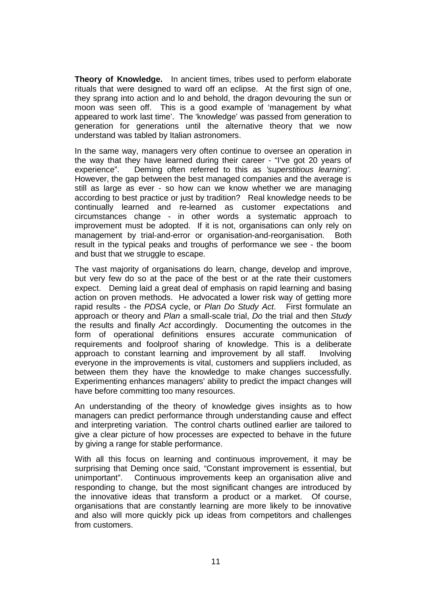**Theory of Knowledge.** In ancient times, tribes used to perform elaborate rituals that were designed to ward off an eclipse. At the first sign of one, they sprang into action and lo and behold, the dragon devouring the sun or moon was seen off. This is a good example of 'management by what appeared to work last time'. The 'knowledge' was passed from generation to generation for generations until the alternative theory that we now understand was tabled by Italian astronomers.

In the same way, managers very often continue to oversee an operation in the way that they have learned during their career - "I've got 20 years of experience". Deming often referred to this as 'superstitious learning'. Deming often referred to this as *'superstitious learning'*. However, the gap between the best managed companies and the average is still as large as ever - so how can we know whether we are managing according to best practice or just by tradition? Real knowledge needs to be continually learned and re-learned as customer expectations and circumstances change - in other words a systematic approach to improvement must be adopted. If it is not, organisations can only rely on management by trial-and-error or organisation-and-reorganisation. Both result in the typical peaks and troughs of performance we see - the boom and bust that we struggle to escape.

The vast majority of organisations do learn, change, develop and improve, but very few do so at the pace of the best or at the rate their customers expect. Deming laid a great deal of emphasis on rapid learning and basing action on proven methods. He advocated a lower risk way of getting more rapid results - the *PDSA* cycle, or *Plan Do Study Act*. First formulate an approach or theory and *Plan* a small-scale trial, *Do* the trial and then *Study* the results and finally *Act* accordingly. Documenting the outcomes in the form of operational definitions ensures accurate communication of requirements and foolproof sharing of knowledge. This is a deliberate approach to constant learning and improvement by all staff. Involving everyone in the improvements is vital, customers and suppliers included, as between them they have the knowledge to make changes successfully. Experimenting enhances managers' ability to predict the impact changes will have before committing too many resources.

An understanding of the theory of knowledge gives insights as to how managers can predict performance through understanding cause and effect and interpreting variation. The control charts outlined earlier are tailored to give a clear picture of how processes are expected to behave in the future by giving a range for stable performance.

With all this focus on learning and continuous improvement, it may be surprising that Deming once said, "Constant improvement is essential, but unimportant". Continuous improvements keep an organisation alive and responding to change, but the most significant changes are introduced by the innovative ideas that transform a product or a market. Of course, organisations that are constantly learning are more likely to be innovative and also will more quickly pick up ideas from competitors and challenges from customers.